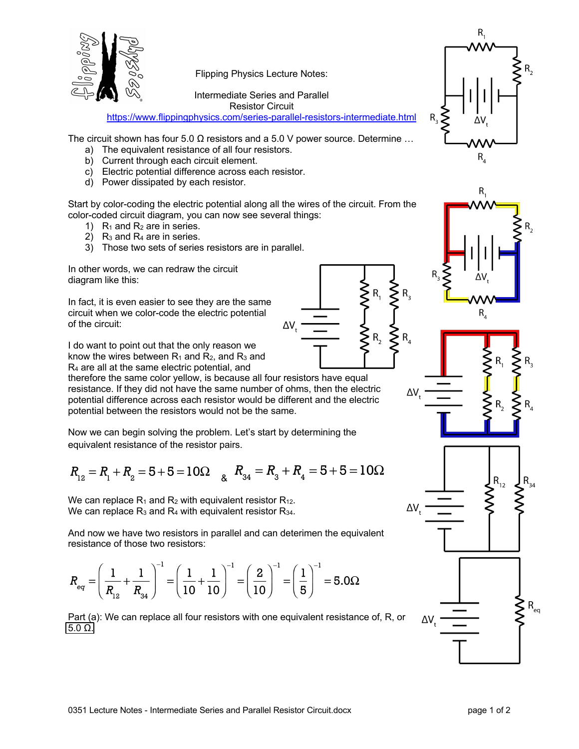

Flipping Physics Lecture Notes:

Intermediate Series and Parallel

Resistor Circuit

https://www.flippingphysics.com/series-parallel-resistors-intermediate.html

The circuit shown has four 5.0  $\Omega$  resistors and a 5.0 V power source. Determine ...

- a) The equivalent resistance of all four resistors.
- b) Current through each circuit element.
- c) Electric potential difference across each resistor.
- d) Power dissipated by each resistor.

Start by color-coding the electric potential along all the wires of the circuit. From the color-coded circuit diagram, you can now see several things:

- 1)  $R_1$  and  $R_2$  are in series.
- 2)  $R_3$  and  $R_4$  are in series.
- 3) Those two sets of series resistors are in parallel.

In other words, we can redraw the circuit diagram like this:

In fact, it is even easier to see they are the same circuit when we color-code the electric potential of the circuit:

I do want to point out that the only reason we know the wires between  $R_1$  and  $R_2$ , and  $R_3$  and R4 are all at the same electric potential, and

therefore the same color yellow, is because all four resistors have equal resistance. If they did not have the same number of ohms, then the electric potential difference across each resistor would be different and the electric potential between the resistors would not be the same.

Now we can begin solving the problem. Let's start by determining the equivalent resistance of the resistor pairs.

$$
R_{12} = R_1 + R_2 = 5 + 5 = 10\Omega \quad \text{g} \quad R_{34} = R_3 + R_4 = 5 + 5 = 10\Omega
$$

We can replace  $R_1$  and  $R_2$  with equivalent resistor  $R_{12}$ . We can replace  $R_3$  and  $R_4$  with equivalent resistor  $R_{34}$ .

And now we have two resistors in parallel and can deterimen the equivalent resistance of those two resistors:

$$
R_{eq} = \left(\frac{1}{R_{12}} + \frac{1}{R_{34}}\right)^{-1} = \left(\frac{1}{10} + \frac{1}{10}\right)^{-1} = \left(\frac{2}{10}\right)^{-1} = \left(\frac{1}{5}\right)^{-1} = 5.0\Omega
$$

Part (a): We can replace all four resistors with one equivalent resistance of, R, or 5.0 Ω.